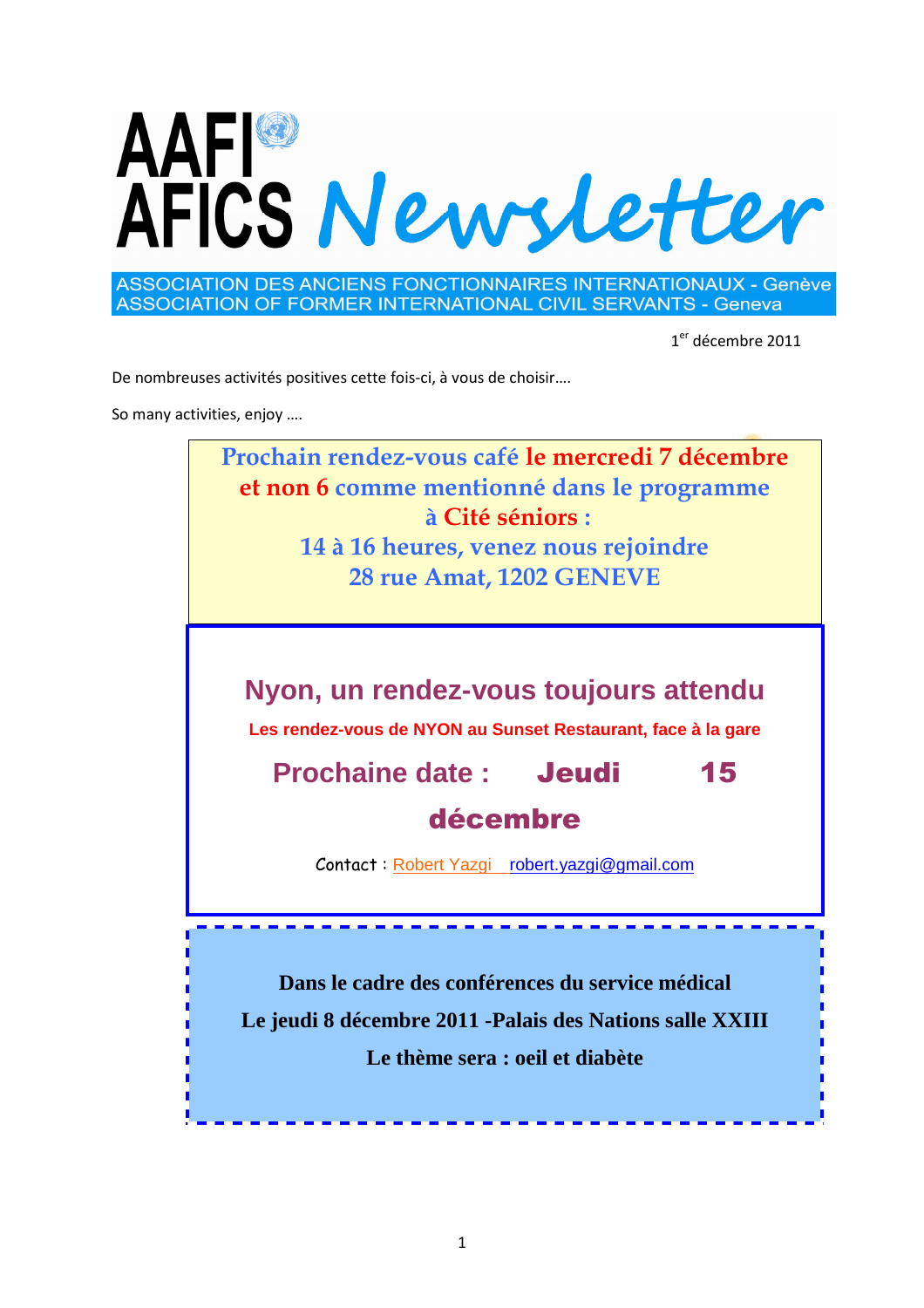

**ASSOCIATION DES ANCIENS FONCTIONNAIRES INTERNATIONAUX - Genève** ASSOCIATION OF FORMER INTERNATIONAL CIVIL SERVANTS - Geneva

1<sup>er</sup> décembre 2011

De nombreuses activités positives cette fois-ci, à vous de choisir….

So many activities, enjoy ….